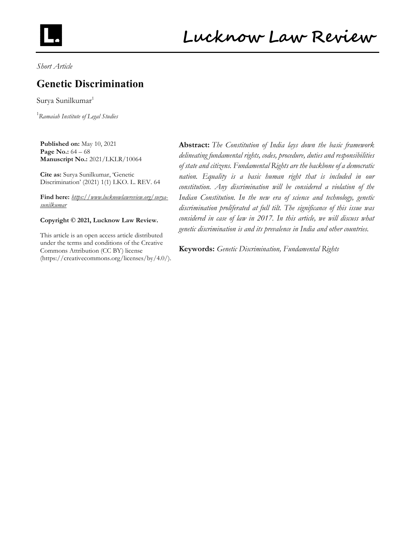

Short Article

## Genetic Discrimination

Surya Sunilkumar<sup>1</sup>

<sup>1</sup>Ramaiah Institute of Legal Studies

Published on: May 10, 2021 Page No.: 64 – 68 Manuscript No.: 2021/LKLR/10064

Cite as: Surya Sunilkumar, 'Genetic Discrimination' (2021) 1(1) LKO. L. REV. 64

Find here: https://www.lucknowlawreview.org/suryasunilkumar

#### Copyright © 2021, Lucknow Law Review.

This article is an open access article distributed under the terms and conditions of the Creative Commons Attribution (CC BY) license (https://creativecommons.org/licenses/by/4.0/).

Abstract: The Constitution of India lays down the basic framework delineating fundamental rights, codes, procedure, duties and responsibilities of state and citizens. Fundamental Rights are the backbone of a democratic nation. Equality is a basic human right that is included in our constitution. Any discrimination will be considered a violation of the Indian Constitution. In the new era of science and technology, genetic discrimination proliferated at full tilt. The significance of this issue was considered in case of law in 2017. In this article, we will discuss what genetic discrimination is and its prevalence in India and other countries.

Keywords: Genetic Discrimination, Fundamental Rights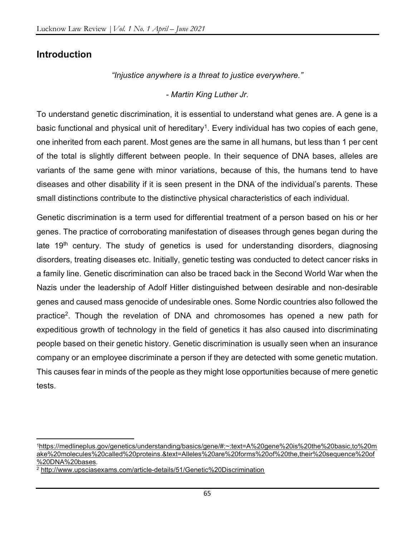#### Introduction

"Injustice anywhere is a threat to justice everywhere."

#### - Martin King Luther Jr.

To understand genetic discrimination, it is essential to understand what genes are. A gene is a basic functional and physical unit of hereditary<sup>1</sup>. Every individual has two copies of each gene, one inherited from each parent. Most genes are the same in all humans, but less than 1 per cent of the total is slightly different between people. In their sequence of DNA bases, alleles are variants of the same gene with minor variations, because of this, the humans tend to have diseases and other disability if it is seen present in the DNA of the individual's parents. These small distinctions contribute to the distinctive physical characteristics of each individual.

Genetic discrimination is a term used for differential treatment of a person based on his or her genes. The practice of corroborating manifestation of diseases through genes began during the late  $19<sup>th</sup>$  century. The study of genetics is used for understanding disorders, diagnosing disorders, treating diseases etc. Initially, genetic testing was conducted to detect cancer risks in a family line. Genetic discrimination can also be traced back in the Second World War when the Nazis under the leadership of Adolf Hitler distinguished between desirable and non-desirable genes and caused mass genocide of undesirable ones. Some Nordic countries also followed the practice<sup>2</sup>. Though the revelation of DNA and chromosomes has opened a new path for expeditious growth of technology in the field of genetics it has also caused into discriminating people based on their genetic history. Genetic discrimination is usually seen when an insurance company or an employee discriminate a person if they are detected with some genetic mutation. This causes fear in minds of the people as they might lose opportunities because of mere genetic tests.

<sup>1</sup>https://medlineplus.gov/genetics/understanding/basics/gene/#:~:text=A%20gene%20is%20the%20basic,to%20m ake%20molecules%20called%20proteins.&text=Alleles%20are%20forms%20of%20the,their%20sequence%20of %20DNA%20bases.

<sup>2</sup> http://www.upsciasexams.com/article-details/51/Genetic%20Discrimination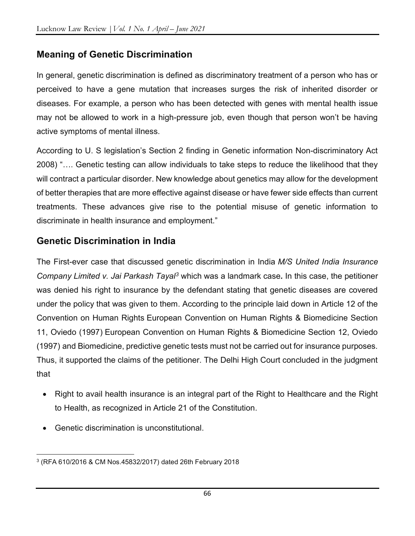## Meaning of Genetic Discrimination

In general, genetic discrimination is defined as discriminatory treatment of a person who has or perceived to have a gene mutation that increases surges the risk of inherited disorder or diseases. For example, a person who has been detected with genes with mental health issue may not be allowed to work in a high-pressure job, even though that person won't be having active symptoms of mental illness.

According to U. S legislation's Section 2 finding in Genetic information Non-discriminatory Act 2008) "…. Genetic testing can allow individuals to take steps to reduce the likelihood that they will contract a particular disorder. New knowledge about genetics may allow for the development of better therapies that are more effective against disease or have fewer side effects than current treatments. These advances give rise to the potential misuse of genetic information to discriminate in health insurance and employment."

#### Genetic Discrimination in India

The First-ever case that discussed genetic discrimination in India M/S United India Insurance Company Limited v. Jai Parkash Tayal<sup>3</sup> which was a landmark case. In this case, the petitioner was denied his right to insurance by the defendant stating that genetic diseases are covered under the policy that was given to them. According to the principle laid down in Article 12 of the Convention on Human Rights European Convention on Human Rights & Biomedicine Section 11, Oviedo (1997) European Convention on Human Rights & Biomedicine Section 12, Oviedo (1997) and Biomedicine, predictive genetic tests must not be carried out for insurance purposes. Thus, it supported the claims of the petitioner. The Delhi High Court concluded in the judgment that

- Right to avail health insurance is an integral part of the Right to Healthcare and the Right to Health, as recognized in Article 21 of the Constitution.
- Genetic discrimination is unconstitutional.

<sup>3</sup> (RFA 610/2016 & CM Nos.45832/2017) dated 26th February 2018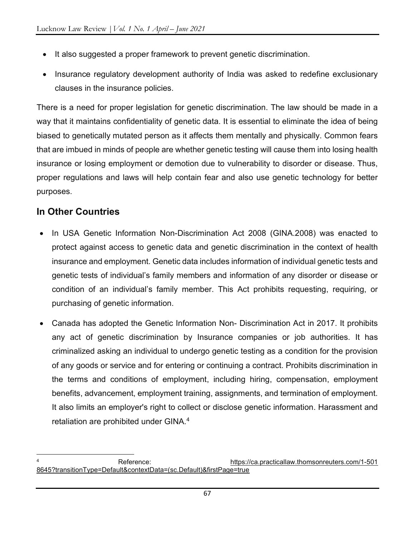- It also suggested a proper framework to prevent genetic discrimination.
- Insurance regulatory development authority of India was asked to redefine exclusionary clauses in the insurance policies.

There is a need for proper legislation for genetic discrimination. The law should be made in a way that it maintains confidentiality of genetic data. It is essential to eliminate the idea of being biased to genetically mutated person as it affects them mentally and physically. Common fears that are imbued in minds of people are whether genetic testing will cause them into losing health insurance or losing employment or demotion due to vulnerability to disorder or disease. Thus, proper regulations and laws will help contain fear and also use genetic technology for better purposes.

#### In Other Countries

- In USA Genetic Information Non-Discrimination Act 2008 (GINA.2008) was enacted to protect against access to genetic data and genetic discrimination in the context of health insurance and employment. Genetic data includes information of individual genetic tests and genetic tests of individual's family members and information of any disorder or disease or condition of an individual's family member. This Act prohibits requesting, requiring, or purchasing of genetic information.
- Canada has adopted the Genetic Information Non- Discrimination Act in 2017. It prohibits any act of genetic discrimination by Insurance companies or job authorities. It has criminalized asking an individual to undergo genetic testing as a condition for the provision of any goods or service and for entering or continuing a contract. Prohibits discrimination in the terms and conditions of employment, including hiring, compensation, employment benefits, advancement, employment training, assignments, and termination of employment. It also limits an employer's right to collect or disclose genetic information. Harassment and retaliation are prohibited under GINA.<sup>4</sup>

<sup>4</sup> Reference: https://ca.practicallaw.thomsonreuters.com/1-501 8645?transitionType=Default&contextData=(sc.Default)&firstPage=true